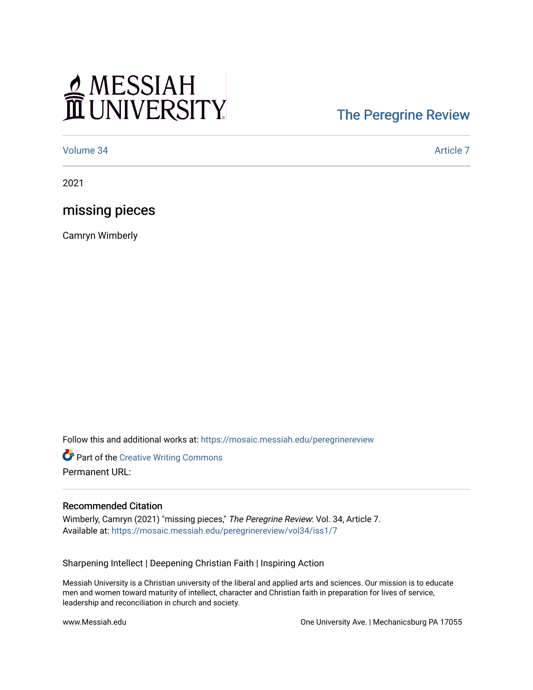# MESSIAH

## [The Peregrine Review](https://mosaic.messiah.edu/peregrinereview)

[Volume 34](https://mosaic.messiah.edu/peregrinereview/vol34) [Article 7](https://mosaic.messiah.edu/peregrinereview/vol34/iss1/7) 

2021

### missing pieces

Camryn Wimberly

Follow this and additional works at: [https://mosaic.messiah.edu/peregrinereview](https://mosaic.messiah.edu/peregrinereview?utm_source=mosaic.messiah.edu%2Fperegrinereview%2Fvol34%2Fiss1%2F7&utm_medium=PDF&utm_campaign=PDFCoverPages) 

**Part of the Creative Writing Commons** Permanent URL:

#### Recommended Citation

Wimberly, Camryn (2021) "missing pieces," The Peregrine Review: Vol. 34, Article 7. Available at: [https://mosaic.messiah.edu/peregrinereview/vol34/iss1/7](https://mosaic.messiah.edu/peregrinereview/vol34/iss1/7?utm_source=mosaic.messiah.edu%2Fperegrinereview%2Fvol34%2Fiss1%2F7&utm_medium=PDF&utm_campaign=PDFCoverPages) 

Sharpening Intellect | Deepening Christian Faith | Inspiring Action

Messiah University is a Christian university of the liberal and applied arts and sciences. Our mission is to educate men and women toward maturity of intellect, character and Christian faith in preparation for lives of service, leadership and reconciliation in church and society.

www.Messiah.edu One University Ave. | Mechanicsburg PA 17055